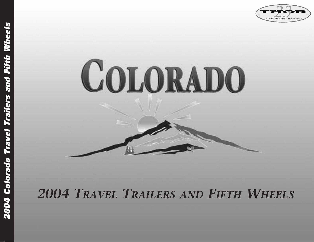



# *2004 TRAVEL TRAILERS AND FIFTH WHEELS*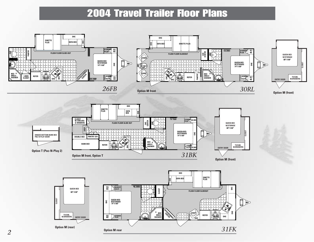### 2004 Travel Trailer Floor Plans

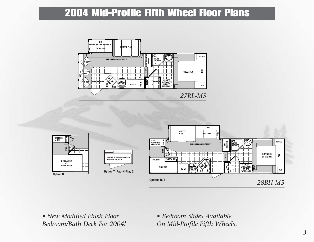### 2004 Mid-Profile Fifth Wheel Floor Plans





*• New Modified Flush Floor Bedroom/Bath Deck For 2004!*

*• Bedroom Slides Available On Mid-Profile Fifth Wheels.*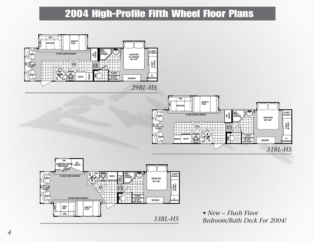## 2004 High-Profile Fifth Wheel Floor Plans





*• New – Flush Floor Bedroom/Bath Deck For 2004!*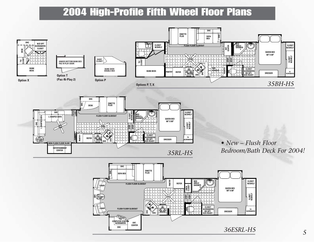### 2004 High-Profile Fifth Wheel Floor Plans







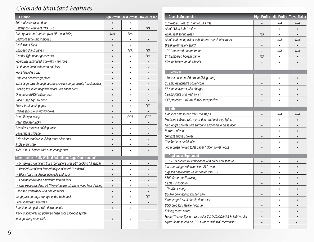### *Colorado Standard Features*

| <b>Exterior</b>                                                       |           |           | High Profile Mid Profile Travel Trailer |
|-----------------------------------------------------------------------|-----------|-----------|-----------------------------------------|
| 30" radius entrance doors                                             |           |           |                                         |
| Battery box with vent (N/A TT's)                                      |           |           | N/A                                     |
| Battery rack on A-frame (N/A H5's and M5's)                           | N/A       | N/A       | $\bullet$                               |
| Bedroom slide (most models)                                           | $\bullet$ |           |                                         |
| <b>Black water flush</b>                                              | $\bullet$ |           | $\bullet$                               |
| Enclosed dump valves                                                  | $\bullet$ | N/A       | N/A                                     |
| Exterior light under gooseneck                                        | $\bullet$ |           | N/A                                     |
| Fiberglass laminated sidewalls - two tone                             | $\bullet$ | ٠         | $\bullet$                               |
| Flush door latch with dead bolt lock                                  | $\bullet$ | $\bullet$ | $\bullet$                               |
| Front fiberglass cap                                                  | $\bullet$ |           |                                         |
| High-end designer graphics                                            | $\bullet$ | $\bullet$ | $\bullet$                               |
| Extra large pass through outside storage compartments (most models)   | $\bullet$ | $\bullet$ |                                         |
| Locking insulated baggage doors with finger pulls                     | $\bullet$ |           |                                         |
| One piece EPDM rubber roof                                            | $\bullet$ | ٠         |                                         |
| Patio / Step light by door                                            | $\bullet$ | $\bullet$ | $\bullet$                               |
| Power front landing gear                                              | $\bullet$ |           | N/A                                     |
| Radius jalousie tinted windows                                        | $\bullet$ |           |                                         |
| Rear fiberglass cap                                                   | $\bullet$ | 0PT       | <b>OPT</b>                              |
| Rear stabilizer jacks                                                 | $\bullet$ |           |                                         |
| Seamless rotocast holding tanks                                       | $\bullet$ | ٠         | $\bullet$                               |
| Sewer hose storage                                                    | $\bullet$ | $\bullet$ | $\bullet$                               |
| Side slider windows in living room slide outs                         | $\bullet$ |           |                                         |
| Triple entry step                                                     | $\bullet$ |           |                                         |
| Twin 30# LP bottles with auto changeover                              |           |           |                                         |
| <b>Construction - Fully Welded "Aluminum Cage Construction"</b>       |           |           |                                         |
| . 5" Welded Aluminum truss roof rafters with 3/8" decking full length | $\bullet$ | $\bullet$ |                                         |
| · Welded Aluminum framed fully laminated 2" sidewall                  | $\bullet$ | $\bullet$ |                                         |
| · Block foam insulation sidewalls and floor                           | $\bullet$ |           |                                         |
| • Laminated/welded aluminum framed floor                              | $\bullet$ | ٠         |                                         |
| • One piece seamless 5/8" Weyerhaeuser structure wood floor decking   | $\bullet$ | $\bullet$ |                                         |
| Enclosed underbelly with heated tanks                                 |           |           |                                         |
| Large pass through storage under bath deck                            | $\bullet$ | $\bullet$ | N/A                                     |
| Filon fiberglass sidewalls                                            | $\bullet$ | $\bullet$ | $\bullet$                               |
| Roof line rain gutter with down spouts                                | $\bullet$ |           |                                         |
| Track guided electric powered flush floor slide-out system            |           |           |                                         |
| in large living room slide                                            | $\bullet$ |           |                                         |
|                                                                       |           |           |                                         |

| <b>Chassis/Suspension</b>                                  | <b>High Profile</b> |           | Mid Profile Travel Trailer |
|------------------------------------------------------------|---------------------|-----------|----------------------------|
| 16" Radial Tires (15" on M5 & TT's)                        |                     | N/A       | N/A                        |
| ALKO "Ultra-Lube" axles                                    |                     | $\bullet$ |                            |
| ALKO leaf spring axles                                     | N/A                 |           |                            |
| ALKO leaf spring axles with Monroe shock absorbers         | $\bullet$           | N/A       | N/A                        |
| Break away safety switch                                   | $\bullet$           | $\bullet$ |                            |
| 10" Cambered I-beam frame                                  | $\bullet$           | N/A       | N/A                        |
| 8" Cambered I-beam frame                                   | N/A                 |           |                            |
| Electric brakes on all wheels                              |                     |           |                            |
| <b>Electrical</b>                                          |                     |           |                            |
| 110 volt outlet in slide room (living area)                | $\bullet$           | $\bullet$ |                            |
| 30 amp detachable power cord                               | $\bullet$           |           |                            |
| 55 amp converter with charger                              | $\bullet$           | $\bullet$ |                            |
| Ceiling lights with wall switch                            |                     |           |                            |
| GFI protected 110-volt duplex receptacles                  |                     |           |                            |
| <b>Bath</b>                                                |                     |           |                            |
| Flat floor bath to bed deck (no step)                      | $\bullet$           | N/A       | N/A                        |
| Medicine cabinet with mirror door and make-up lights       | $\bullet$           | ٠         | $\bullet$                  |
| Neo Angle shower with surround and opaque glass door       |                     | $\bullet$ |                            |
| Power roof vent                                            | $\bullet$           | $\bullet$ |                            |
| Skylight above shower                                      | $\bullet$           | $\bullet$ |                            |
| Thetford foot pedal toilet                                 |                     |           |                            |
| Tooth brush holder, toilet paper holder, towel hooks       |                     |           |                            |
| Appliances/Equipment                                       |                     |           |                            |
| 13.5 BTU ducted air conditioner with quick cool feature    | $\bullet$           |           |                            |
| 3 burner range with oversized 21" oven                     |                     |           |                            |
| 6 gallon gas/electric water heater with DSL                |                     |           |                            |
| 8500 Series A&E awning                                     |                     |           |                            |
| Cable TV hook up                                           |                     |           |                            |
| 12 V Water pump                                            |                     |           |                            |
| Double bowl acrylic kitchen sink                           | $\bullet$           | ٠         |                            |
| Extra large 8 cu. ft.double door refer                     | $\bullet$           | ٠         |                            |
| DSS prep for satellite hook up                             | $\bullet$           | $\bullet$ |                            |
| Folding range cover                                        |                     |           |                            |
| Home Theater System with color TV, DVD/CD/MP3 & Sub Woofer |                     | ٠         |                            |
| Hydro-flame forced air, DSI furnace with wall thermostat   |                     | $\bullet$ |                            |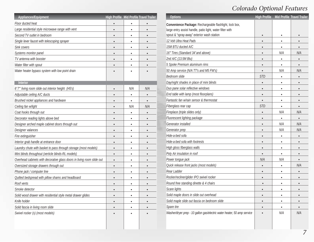### *Colorado Optional Features*

| <b>Appliances/Equipment</b>                                            |           |           | <b>High Profile Mid Profile Travel Trailer</b> | <b>Options</b>                                                          | <b>High Profile</b> |           | Mid Profile Travel Trailer |
|------------------------------------------------------------------------|-----------|-----------|------------------------------------------------|-------------------------------------------------------------------------|---------------------|-----------|----------------------------|
| Floor ducted heat                                                      | $\bullet$ | $\bullet$ | $\bullet$                                      | Convenience Package: Rechargeable flashlight, lock box,                 |                     |           |                            |
| Large residential style microwave range with vent                      | $\bullet$ | $\bullet$ | $\bullet$                                      | large entry assist handle, patio light, water filter with               |                     |           |                            |
| Second TV outlet in bedroom                                            | $\bullet$ | $\bullet$ | $\bullet$                                      | spout & "spray-away" exterior wash station                              | $\bullet$           | $\bullet$ |                            |
| Single lever faucet with telescoping sprayer                           | $\bullet$ | $\bullet$ | $\bullet$                                      | 12 Volt Ultra Heat Pads                                                 | $\bullet$           | $\bullet$ | $\bullet$                  |
| Sink covers                                                            | $\bullet$ | $\bullet$ | $\bullet$                                      | 15M BTU ducted A/C                                                      | $\bullet$           | $\bullet$ | $\bullet$                  |
| Systems monitor panel                                                  | $\bullet$ | $\bullet$ | $\bullet$                                      | 16" Tires (Standard 34' and above)                                      | $\bullet$           | N/A       | N/A                        |
| TV antenna with booster                                                | $\bullet$ | $\bullet$ | $\bullet$                                      | 2nd A/C (13.5M Btu)                                                     | $\bullet$           | $\bullet$ | $\bullet$                  |
| Water filter with spout                                                | $\bullet$ | $\bullet$ | $\bullet$                                      | 5 Spoke Premium aluminum rims                                           | $\bullet$           | $\bullet$ | $\bullet$                  |
| Water heater bypass system with low point drain                        | $\bullet$ | $\bullet$ |                                                | 50 Amp service (N/A TT's and M5 FW's)                                   | $\bullet$           | N/A       | N/A                        |
|                                                                        |           |           |                                                | Bedroom slide                                                           | <b>STD</b>          | $\bullet$ | $\bullet$                  |
| <b>Interior</b>                                                        |           |           |                                                | Day/night shades in place of mini blinds                                | $\bullet$           | $\bullet$ | $\bullet$                  |
| 6'7" living room slide out interior height (H5's)                      | $\bullet$ | N/A       | N/A                                            | Duo pane solar reflective windows                                       | $\bullet$           | $\bullet$ | $\bullet$                  |
| Adjustable ceiling A/C ducts                                           | $\bullet$ | $\bullet$ | $\bullet$                                      | End table with lamp (most floorplans)                                   | $\bullet$           | $\bullet$ | $\bullet$                  |
| Brushed nickel appliances and hardware                                 | $\bullet$ | $\bullet$ | $\bullet$                                      | Fantastic fan w/rain sensor & thermostat                                | $\bullet$           | $\bullet$ | $\bullet$                  |
| Ceiling fan w/light                                                    | $\bullet$ | N/A       | N/A                                            | Fiberglass rear cap                                                     | <b>STD</b>          | $\bullet$ | $\bullet$                  |
| Coat hooks through out                                                 | $\bullet$ | $\bullet$ | $\bullet$                                      | Fireplace (triple slides only)                                          | $\bullet$           | N/A       | N/A                        |
| Decorator reading lights above bed                                     | $\bullet$ | $\bullet$ | $\bullet$                                      | Fluorescent lighting package                                            | $\bullet$           | $\bullet$ | $\bullet$                  |
| Designer arched maple cabinet doors through out                        | $\bullet$ | $\bullet$ | $\bullet$                                      | Generator installed                                                     | $\bullet$           | N/A       | N/A                        |
| Designer valances                                                      | $\bullet$ | $\bullet$ | $\bullet$                                      | Generator prep                                                          | $\bullet$           | N/A       | N/A                        |
| Fire extinguisher                                                      | $\bullet$ | $\bullet$ | $\bullet$                                      | Hide-a-bed sofa                                                         | $\bullet$           | $\bullet$ | $\bullet$                  |
| Interior grab handle at entrance door                                  | $\bullet$ | $\bullet$ | $\bullet$                                      | Hide-a-bed sofa with footrests                                          | $\bullet$           | $\bullet$ | $\bullet$                  |
| Laundry chute with basket to pass through storage (most models)        | $\bullet$ | $\bullet$ | $\bullet$                                      | High gloss fiberglass walls                                             | $\bullet$           | $\bullet$ | $\bullet$                  |
| Mini blinds throughout (verticle blinds-RL models)                     | $\bullet$ | $\bullet$ | $\bullet$                                      | Poly Air insulation in roof                                             | $\bullet$           | $\bullet$ | $\bullet$                  |
| Overhead cabinets with decorative glass doors in living room slide out | $\bullet$ | $\bullet$ | $\bullet$                                      | Power tongue jack                                                       | N/A                 | N/A       | $\bullet$                  |
| Oversized storage drawers through out                                  | $\bullet$ | $\bullet$ | $\bullet$                                      | Quick release front jacks (most models)                                 | $\bullet$           | $\bullet$ | N/A                        |
| Phone jack / computer line                                             | $\bullet$ | $\bullet$ | $\bullet$                                      | Rear Ladder                                                             | $\bullet$           | $\bullet$ | $\bullet$                  |
| Quilted bedspread with pillow shams and headboard                      | $\bullet$ | $\bullet$ | $\bullet$                                      | Rocker/recliner/glider IPO swivel rocker                                | $\bullet$           | $\bullet$ |                            |
| Roof vents                                                             | $\bullet$ | $\bullet$ | $\bullet$                                      | Round free standing dinette & 4 chairs                                  | $\bullet$           | $\bullet$ | $\bullet$                  |
| Smoke detector                                                         | $\bullet$ | $\bullet$ |                                                | Scare lights                                                            |                     |           |                            |
| Solid wood drawer with residential style metal drawer glides           | $\bullet$ | $\bullet$ | $\bullet$                                      | Solid maple doors in slide out overhead                                 | $\bullet$           | $\bullet$ | $\bullet$                  |
| Knife holder                                                           | $\bullet$ | $\bullet$ | $\bullet$                                      | Solid maple slide out fascia on bedroom slide                           | $\bullet$           | $\bullet$ | $\bullet$                  |
| Solid fascia in living room slide                                      | $\bullet$ | $\bullet$ | $\bullet$                                      | Spare tire                                                              | $\bullet$           | $\bullet$ | $\bullet$                  |
| Swivel rocker (s) (most models)                                        | $\bullet$ | $\bullet$ | $\bullet$                                      | Washer/dryer prep - 10 gallon gas/electric water heater, 50 amp service | $\bullet$           | N/A       | N/A                        |

| <b>Options</b>                                                          | <b>High Profile</b> |           | <b>Mid Profile Travel Trailer</b> |
|-------------------------------------------------------------------------|---------------------|-----------|-----------------------------------|
| Convenience Package: Rechargeable flashlight, lock box,                 |                     |           |                                   |
| large entry assist handle, patio light, water filter with               |                     |           |                                   |
| spout & "spray-away" exterior wash station                              | $\bullet$           | $\bullet$ |                                   |
| 12 Volt Ultra Heat Pads                                                 | $\bullet$           | $\bullet$ |                                   |
| 15M BTU ducted A/C                                                      | $\bullet$           |           |                                   |
| 16" Tires (Standard 34' and above)                                      | $\bullet$           | N/A       | N/A                               |
| 2nd A/C (13.5M Btu)                                                     | $\bullet$           | ٠         |                                   |
| 5 Spoke Premium aluminum rims                                           | $\bullet$           | $\bullet$ | $\bullet$                         |
| 50 Amp service (N/A TT's and M5 FW's)                                   |                     | N/A       | N/A                               |
| Bedroom slide                                                           | <b>STD</b>          | $\bullet$ | $\bullet$                         |
| Day/night shades in place of mini blinds                                | $\bullet$           | $\bullet$ |                                   |
| Duo pane solar reflective windows                                       | $\bullet$           | $\bullet$ |                                   |
| End table with lamp (most floorplans)                                   | $\bullet$           | $\bullet$ |                                   |
| Fantastic fan w/rain sensor & thermostat                                | $\bullet$           | $\bullet$ | $\bullet$                         |
| Fiberglass rear cap                                                     | <b>STD</b>          |           |                                   |
| Fireplace (triple slides only)                                          | $\bullet$           | N/A       | N/A                               |
| Fluorescent lighting package                                            | $\bullet$           |           |                                   |
| Generator installed                                                     | $\bullet$           | N/A       | N/A                               |
| Generator prep                                                          | $\bullet$           | N/A       | N/A                               |
| Hide-a-bed sofa                                                         | $\bullet$           | ٠         | $\bullet$                         |
| Hide-a-bed sofa with footrests                                          | $\bullet$           | ٠         |                                   |
| High gloss fiberglass walls                                             | $\bullet$           | $\bullet$ | $\bullet$                         |
| Poly Air insulation in roof                                             |                     |           |                                   |
| Power tongue jack                                                       | N/A                 | N/A       |                                   |
| Quick release front jacks (most models)                                 | $\bullet$           | $\bullet$ | N/A                               |
| Rear Ladder                                                             | $\bullet$           | $\bullet$ | $\bullet$                         |
| Rocker/recliner/glider IPO swivel rocker                                | $\bullet$           | $\bullet$ |                                   |
| Round free standing dinette & 4 chairs                                  | $\bullet$           | $\bullet$ |                                   |
| Scare lights                                                            |                     |           |                                   |
| Solid maple doors in slide out overhead                                 | $\bullet$           |           |                                   |
| Solid maple slide out fascia on bedroom slide                           | $\bullet$           |           |                                   |
| Spare tire                                                              | $\bullet$           |           |                                   |
| Washer/dryer prep - 10 gallon gas/electric water heater, 50 amp service |                     | N/A       | N/A                               |